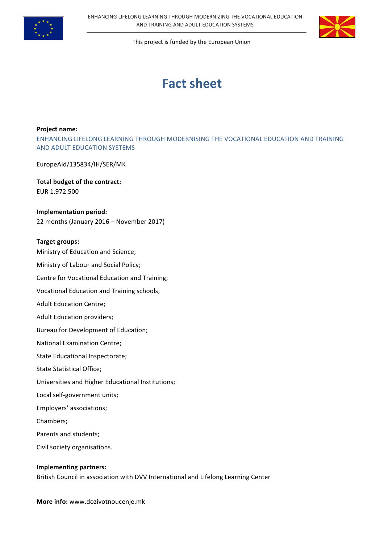



# **Fact sheet**

#### **Project name:**

ENHANCING LIFELONG LEARNING THROUGH MODERNISING THE VOCATIONAL EDUCATION AND TRAINING AND ADULT EDUCATION SYSTEMS

EuropeAid/135834/IH/SER/MK

**Total budget of the contract:** EUR 1.972.500

**Implementation period:** 22 months (January 2016 - November 2017)

### **Target groups:**

Ministry of Education and Science; Ministry of Labour and Social Policy; Centre for Vocational Education and Training; Vocational Education and Training schools; Adult Education Centre; Adult Education providers; Bureau for Development of Education; National Examination Centre; State Educational Inspectorate; State Statistical Office; Universities and Higher Educational Institutions; Local self-government units; Employers' associations; Chambers; Parents and students; Civil society organisations.

# **Implementing partners:** British Council in association with DVV International and Lifelong Learning Center

**More info:** www.dozivotnoucenje.mk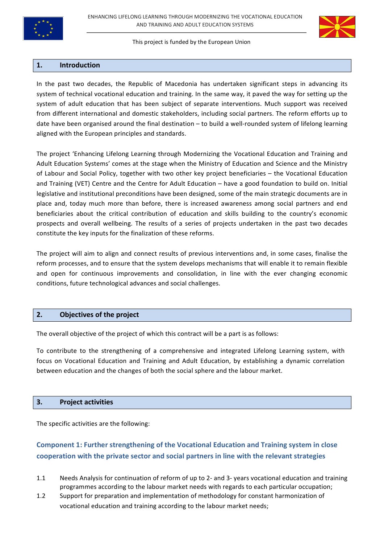



### **1. Introduction**

In the past two decades, the Republic of Macedonia has undertaken significant steps in advancing its system of technical vocational education and training. In the same way, it paved the way for setting up the system of adult education that has been subject of separate interventions. Much support was received from different international and domestic stakeholders, including social partners. The reform efforts up to date have been organised around the final destination - to build a well-rounded system of lifelong learning aligned with the European principles and standards.

The project 'Enhancing Lifelong Learning through Modernizing the Vocational Education and Training and Adult Education Systems' comes at the stage when the Ministry of Education and Science and the Ministry of Labour and Social Policy, together with two other key project beneficiaries – the Vocational Education and Training (VET) Centre and the Centre for Adult Education – have a good foundation to build on. Initial legislative and institutional preconditions have been designed, some of the main strategic documents are in place and, today much more than before, there is increased awareness among social partners and end beneficiaries about the critical contribution of education and skills building to the country's economic prospects and overall wellbeing. The results of a series of projects undertaken in the past two decades constitute the key inputs for the finalization of these reforms.

The project will aim to align and connect results of previous interventions and, in some cases, finalise the reform processes, and to ensure that the system develops mechanisms that will enable it to remain flexible and open for continuous improvements and consolidation, in line with the ever changing economic conditions, future technological advances and social challenges.

### **2. Objectives of the project**

The overall objective of the project of which this contract will be a part is as follows:

To contribute to the strengthening of a comprehensive and integrated Lifelong Learning system, with focus on Vocational Education and Training and Adult Education, by establishing a dynamic correlation between education and the changes of both the social sphere and the labour market.

### **3. Project activities**

The specific activities are the following:

# **Component 1: Further strengthening of the Vocational Education and Training system in close** cooperation with the private sector and social partners in line with the relevant strategies

- 1.1 Needs Analysis for continuation of reform of up to 2- and 3- years vocational education and training programmes according to the labour market needs with regards to each particular occupation;
- 1.2 Support for preparation and implementation of methodology for constant harmonization of vocational education and training according to the labour market needs;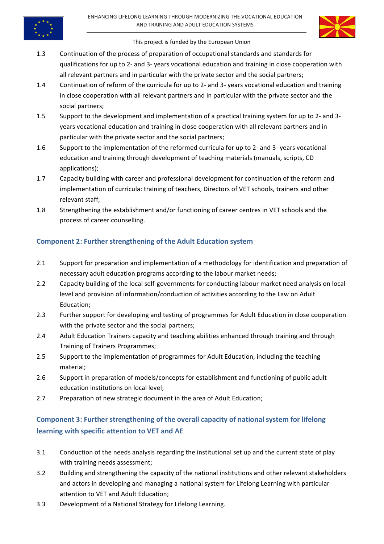

- 1.3 Continuation of the process of preparation of occupational standards and standards for qualifications for up to 2- and 3- years vocational education and training in close cooperation with all relevant partners and in particular with the private sector and the social partners;
- 1.4 Continuation of reform of the curricula for up to 2- and 3- years vocational education and training in close cooperation with all relevant partners and in particular with the private sector and the social partners;
- 1.5 Support to the development and implementation of a practical training system for up to 2- and 3years vocational education and training in close cooperation with all relevant partners and in particular with the private sector and the social partners;
- 1.6 Support to the implementation of the reformed curricula for up to 2- and 3- years vocational education and training through development of teaching materials (manuals, scripts, CD applications);
- 1.7 Capacity building with career and professional development for continuation of the reform and implementation of curricula: training of teachers, Directors of VET schools, trainers and other relevant staff;
- 1.8 Strengthening the establishment and/or functioning of career centres in VET schools and the process of career counselling.

# **Component 2: Further strengthening of the Adult Education system**

- 2.1 Support for preparation and implementation of a methodology for identification and preparation of necessary adult education programs according to the labour market needs;
- 2.2 Capacity building of the local self-governments for conducting labour market need analysis on local level and provision of information/conduction of activities according to the Law on Adult Education;
- 2.3 Further support for developing and testing of programmes for Adult Education in close cooperation with the private sector and the social partners;
- 2.4 Adult Education Trainers capacity and teaching abilities enhanced through training and through Training of Trainers Programmes;
- 2.5 Support to the implementation of programmes for Adult Education, including the teaching material;
- 2.6 Support in preparation of models/concepts for establishment and functioning of public adult education institutions on local level:
- 2.7 Preparation of new strategic document in the area of Adult Education;

# **Component 3: Further strengthening of the overall capacity of national system for lifelong learning with specific attention to VET and AE**

- 3.1 Conduction of the needs analysis regarding the institutional set up and the current state of play with training needs assessment;
- 3.2 Building and strengthening the capacity of the national institutions and other relevant stakeholders and actors in developing and managing a national system for Lifelong Learning with particular attention to VET and Adult Education:
- 3.3 Development of a National Strategy for Lifelong Learning.